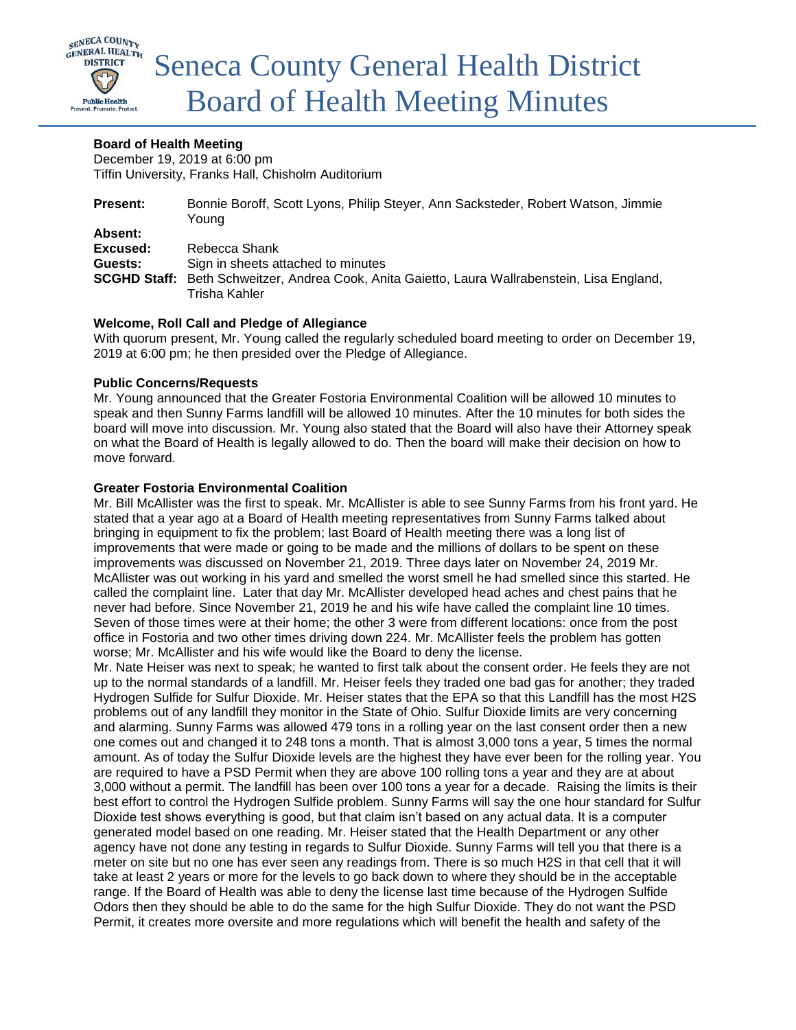

# **Board of Health Meeting**

December 19, 2019 at 6:00 pm Tiffin University, Franks Hall, Chisholm Auditorium

| <b>Present:</b> | Bonnie Boroff, Scott Lyons, Philip Steyer, Ann Sacksteder, Robert Watson, Jimmie              |
|-----------------|-----------------------------------------------------------------------------------------------|
|                 | Youna                                                                                         |
| Absent:         |                                                                                               |
| Excused:        | Rebecca Shank                                                                                 |
| Guests:         | Sign in sheets attached to minutes                                                            |
|                 | SCGHD Staff: Beth Schweitzer, Andrea Cook, Anita Gaietto, Laura Wallrabenstein, Lisa England, |
|                 | Trisha Kahler                                                                                 |

## **Welcome, Roll Call and Pledge of Allegiance**

With quorum present, Mr. Young called the regularly scheduled board meeting to order on December 19, 2019 at 6:00 pm; he then presided over the Pledge of Allegiance.

### **Public Concerns/Requests**

Mr. Young announced that the Greater Fostoria Environmental Coalition will be allowed 10 minutes to speak and then Sunny Farms landfill will be allowed 10 minutes. After the 10 minutes for both sides the board will move into discussion. Mr. Young also stated that the Board will also have their Attorney speak on what the Board of Health is legally allowed to do. Then the board will make their decision on how to move forward.

## **Greater Fostoria Environmental Coalition**

Mr. Bill McAllister was the first to speak. Mr. McAllister is able to see Sunny Farms from his front yard. He stated that a year ago at a Board of Health meeting representatives from Sunny Farms talked about bringing in equipment to fix the problem; last Board of Health meeting there was a long list of improvements that were made or going to be made and the millions of dollars to be spent on these improvements was discussed on November 21, 2019. Three days later on November 24, 2019 Mr. McAllister was out working in his yard and smelled the worst smell he had smelled since this started. He called the complaint line. Later that day Mr. McAllister developed head aches and chest pains that he never had before. Since November 21, 2019 he and his wife have called the complaint line 10 times. Seven of those times were at their home; the other 3 were from different locations: once from the post office in Fostoria and two other times driving down 224. Mr. McAllister feels the problem has gotten worse; Mr. McAllister and his wife would like the Board to deny the license.

Mr. Nate Heiser was next to speak; he wanted to first talk about the consent order. He feels they are not up to the normal standards of a landfill. Mr. Heiser feels they traded one bad gas for another; they traded Hydrogen Sulfide for Sulfur Dioxide. Mr. Heiser states that the EPA so that this Landfill has the most H2S problems out of any landfill they monitor in the State of Ohio. Sulfur Dioxide limits are very concerning and alarming. Sunny Farms was allowed 479 tons in a rolling year on the last consent order then a new one comes out and changed it to 248 tons a month. That is almost 3,000 tons a year, 5 times the normal amount. As of today the Sulfur Dioxide levels are the highest they have ever been for the rolling year. You are required to have a PSD Permit when they are above 100 rolling tons a year and they are at about 3,000 without a permit. The landfill has been over 100 tons a year for a decade. Raising the limits is their best effort to control the Hydrogen Sulfide problem. Sunny Farms will say the one hour standard for Sulfur Dioxide test shows everything is good, but that claim isn't based on any actual data. It is a computer generated model based on one reading. Mr. Heiser stated that the Health Department or any other agency have not done any testing in regards to Sulfur Dioxide. Sunny Farms will tell you that there is a meter on site but no one has ever seen any readings from. There is so much H2S in that cell that it will take at least 2 years or more for the levels to go back down to where they should be in the acceptable range. If the Board of Health was able to deny the license last time because of the Hydrogen Sulfide Odors then they should be able to do the same for the high Sulfur Dioxide. They do not want the PSD Permit, it creates more oversite and more regulations which will benefit the health and safety of the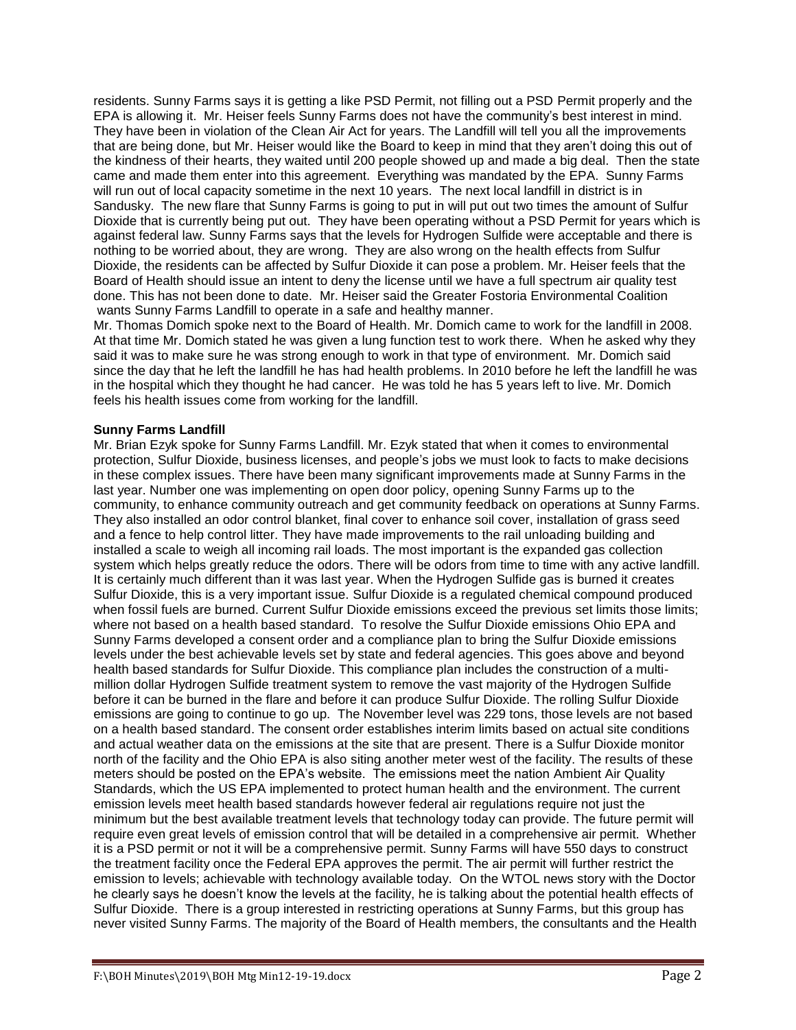residents. Sunny Farms says it is getting a like PSD Permit, not filling out a PSD Permit properly and the EPA is allowing it. Mr. Heiser feels Sunny Farms does not have the community's best interest in mind. They have been in violation of the Clean Air Act for years. The Landfill will tell you all the improvements that are being done, but Mr. Heiser would like the Board to keep in mind that they aren't doing this out of the kindness of their hearts, they waited until 200 people showed up and made a big deal. Then the state came and made them enter into this agreement. Everything was mandated by the EPA. Sunny Farms will run out of local capacity sometime in the next 10 years. The next local landfill in district is in Sandusky. The new flare that Sunny Farms is going to put in will put out two times the amount of Sulfur Dioxide that is currently being put out. They have been operating without a PSD Permit for years which is against federal law. Sunny Farms says that the levels for Hydrogen Sulfide were acceptable and there is nothing to be worried about, they are wrong. They are also wrong on the health effects from Sulfur Dioxide, the residents can be affected by Sulfur Dioxide it can pose a problem. Mr. Heiser feels that the Board of Health should issue an intent to deny the license until we have a full spectrum air quality test done. This has not been done to date. Mr. Heiser said the Greater Fostoria Environmental Coalition wants Sunny Farms Landfill to operate in a safe and healthy manner.

Mr. Thomas Domich spoke next to the Board of Health. Mr. Domich came to work for the landfill in 2008. At that time Mr. Domich stated he was given a lung function test to work there. When he asked why they said it was to make sure he was strong enough to work in that type of environment. Mr. Domich said since the day that he left the landfill he has had health problems. In 2010 before he left the landfill he was in the hospital which they thought he had cancer. He was told he has 5 years left to live. Mr. Domich feels his health issues come from working for the landfill.

### **Sunny Farms Landfill**

Mr. Brian Ezyk spoke for Sunny Farms Landfill. Mr. Ezyk stated that when it comes to environmental protection, Sulfur Dioxide, business licenses, and people's jobs we must look to facts to make decisions in these complex issues. There have been many significant improvements made at Sunny Farms in the last year. Number one was implementing on open door policy, opening Sunny Farms up to the community, to enhance community outreach and get community feedback on operations at Sunny Farms. They also installed an odor control blanket, final cover to enhance soil cover, installation of grass seed and a fence to help control litter. They have made improvements to the rail unloading building and installed a scale to weigh all incoming rail loads. The most important is the expanded gas collection system which helps greatly reduce the odors. There will be odors from time to time with any active landfill. It is certainly much different than it was last year. When the Hydrogen Sulfide gas is burned it creates Sulfur Dioxide, this is a very important issue. Sulfur Dioxide is a regulated chemical compound produced when fossil fuels are burned. Current Sulfur Dioxide emissions exceed the previous set limits those limits; where not based on a health based standard. To resolve the Sulfur Dioxide emissions Ohio EPA and Sunny Farms developed a consent order and a compliance plan to bring the Sulfur Dioxide emissions levels under the best achievable levels set by state and federal agencies. This goes above and beyond health based standards for Sulfur Dioxide. This compliance plan includes the construction of a multimillion dollar Hydrogen Sulfide treatment system to remove the vast majority of the Hydrogen Sulfide before it can be burned in the flare and before it can produce Sulfur Dioxide. The rolling Sulfur Dioxide emissions are going to continue to go up. The November level was 229 tons, those levels are not based on a health based standard. The consent order establishes interim limits based on actual site conditions and actual weather data on the emissions at the site that are present. There is a Sulfur Dioxide monitor north of the facility and the Ohio EPA is also siting another meter west of the facility. The results of these meters should be posted on the EPA's website. The emissions meet the nation Ambient Air Quality Standards, which the US EPA implemented to protect human health and the environment. The current emission levels meet health based standards however federal air regulations require not just the minimum but the best available treatment levels that technology today can provide. The future permit will require even great levels of emission control that will be detailed in a comprehensive air permit. Whether it is a PSD permit or not it will be a comprehensive permit. Sunny Farms will have 550 days to construct the treatment facility once the Federal EPA approves the permit. The air permit will further restrict the emission to levels; achievable with technology available today. On the WTOL news story with the Doctor he clearly says he doesn't know the levels at the facility, he is talking about the potential health effects of Sulfur Dioxide. There is a group interested in restricting operations at Sunny Farms, but this group has never visited Sunny Farms. The majority of the Board of Health members, the consultants and the Health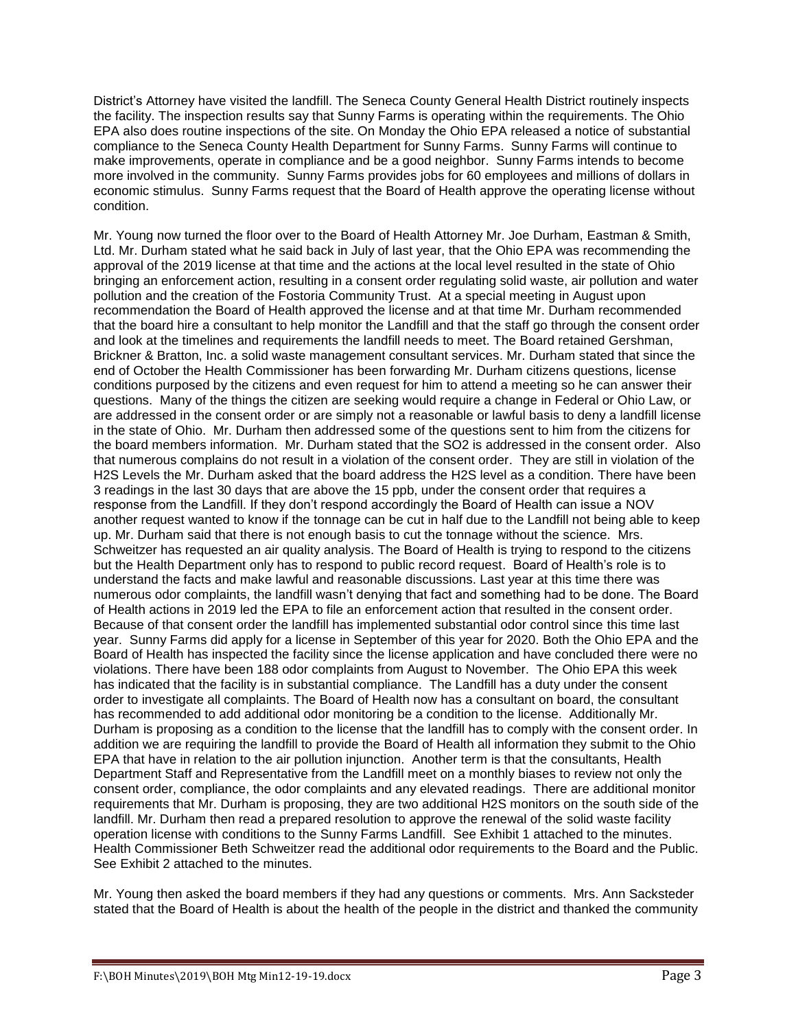District's Attorney have visited the landfill. The Seneca County General Health District routinely inspects the facility. The inspection results say that Sunny Farms is operating within the requirements. The Ohio EPA also does routine inspections of the site. On Monday the Ohio EPA released a notice of substantial compliance to the Seneca County Health Department for Sunny Farms. Sunny Farms will continue to make improvements, operate in compliance and be a good neighbor. Sunny Farms intends to become more involved in the community. Sunny Farms provides jobs for 60 employees and millions of dollars in economic stimulus. Sunny Farms request that the Board of Health approve the operating license without condition.

Mr. Young now turned the floor over to the Board of Health Attorney Mr. Joe Durham, Eastman & Smith, Ltd. Mr. Durham stated what he said back in July of last year, that the Ohio EPA was recommending the approval of the 2019 license at that time and the actions at the local level resulted in the state of Ohio bringing an enforcement action, resulting in a consent order regulating solid waste, air pollution and water pollution and the creation of the Fostoria Community Trust. At a special meeting in August upon recommendation the Board of Health approved the license and at that time Mr. Durham recommended that the board hire a consultant to help monitor the Landfill and that the staff go through the consent order and look at the timelines and requirements the landfill needs to meet. The Board retained Gershman, Brickner & Bratton, Inc. a solid waste management consultant services. Mr. Durham stated that since the end of October the Health Commissioner has been forwarding Mr. Durham citizens questions, license conditions purposed by the citizens and even request for him to attend a meeting so he can answer their questions. Many of the things the citizen are seeking would require a change in Federal or Ohio Law, or are addressed in the consent order or are simply not a reasonable or lawful basis to deny a landfill license in the state of Ohio. Mr. Durham then addressed some of the questions sent to him from the citizens for the board members information. Mr. Durham stated that the SO2 is addressed in the consent order. Also that numerous complains do not result in a violation of the consent order. They are still in violation of the H2S Levels the Mr. Durham asked that the board address the H2S level as a condition. There have been 3 readings in the last 30 days that are above the 15 ppb, under the consent order that requires a response from the Landfill. If they don't respond accordingly the Board of Health can issue a NOV another request wanted to know if the tonnage can be cut in half due to the Landfill not being able to keep up. Mr. Durham said that there is not enough basis to cut the tonnage without the science. Mrs. Schweitzer has requested an air quality analysis. The Board of Health is trying to respond to the citizens but the Health Department only has to respond to public record request. Board of Health's role is to understand the facts and make lawful and reasonable discussions. Last year at this time there was numerous odor complaints, the landfill wasn't denying that fact and something had to be done. The Board of Health actions in 2019 led the EPA to file an enforcement action that resulted in the consent order. Because of that consent order the landfill has implemented substantial odor control since this time last year. Sunny Farms did apply for a license in September of this year for 2020. Both the Ohio EPA and the Board of Health has inspected the facility since the license application and have concluded there were no violations. There have been 188 odor complaints from August to November. The Ohio EPA this week has indicated that the facility is in substantial compliance. The Landfill has a duty under the consent order to investigate all complaints. The Board of Health now has a consultant on board, the consultant has recommended to add additional odor monitoring be a condition to the license. Additionally Mr. Durham is proposing as a condition to the license that the landfill has to comply with the consent order. In addition we are requiring the landfill to provide the Board of Health all information they submit to the Ohio EPA that have in relation to the air pollution injunction. Another term is that the consultants, Health Department Staff and Representative from the Landfill meet on a monthly biases to review not only the consent order, compliance, the odor complaints and any elevated readings. There are additional monitor requirements that Mr. Durham is proposing, they are two additional H2S monitors on the south side of the landfill. Mr. Durham then read a prepared resolution to approve the renewal of the solid waste facility operation license with conditions to the Sunny Farms Landfill. See Exhibit 1 attached to the minutes. Health Commissioner Beth Schweitzer read the additional odor requirements to the Board and the Public. See Exhibit 2 attached to the minutes.

Mr. Young then asked the board members if they had any questions or comments. Mrs. Ann Sacksteder stated that the Board of Health is about the health of the people in the district and thanked the community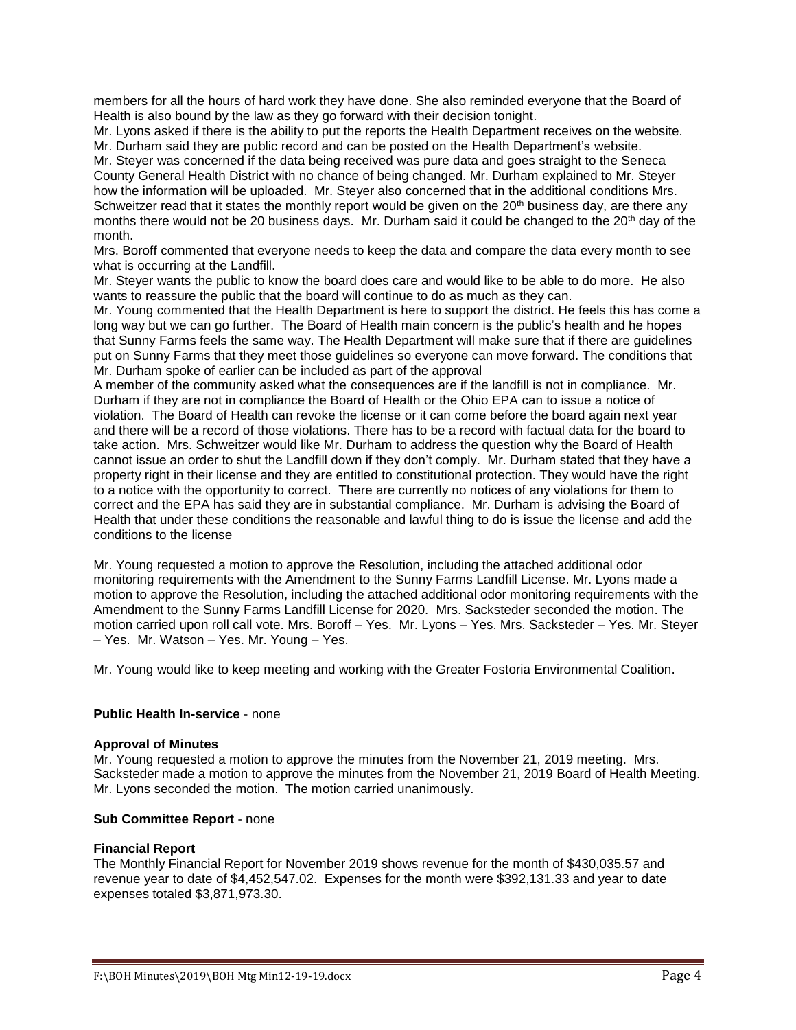members for all the hours of hard work they have done. She also reminded everyone that the Board of Health is also bound by the law as they go forward with their decision tonight.

Mr. Lyons asked if there is the ability to put the reports the Health Department receives on the website. Mr. Durham said they are public record and can be posted on the Health Department's website.

Mr. Steyer was concerned if the data being received was pure data and goes straight to the Seneca County General Health District with no chance of being changed. Mr. Durham explained to Mr. Steyer how the information will be uploaded. Mr. Steyer also concerned that in the additional conditions Mrs. Schweitzer read that it states the monthly report would be given on the  $20<sup>th</sup>$  business day, are there any months there would not be 20 business days. Mr. Durham said it could be changed to the 20<sup>th</sup> day of the month.

Mrs. Boroff commented that everyone needs to keep the data and compare the data every month to see what is occurring at the Landfill.

Mr. Steyer wants the public to know the board does care and would like to be able to do more. He also wants to reassure the public that the board will continue to do as much as they can.

Mr. Young commented that the Health Department is here to support the district. He feels this has come a long way but we can go further. The Board of Health main concern is the public's health and he hopes that Sunny Farms feels the same way. The Health Department will make sure that if there are guidelines put on Sunny Farms that they meet those guidelines so everyone can move forward. The conditions that Mr. Durham spoke of earlier can be included as part of the approval

A member of the community asked what the consequences are if the landfill is not in compliance. Mr. Durham if they are not in compliance the Board of Health or the Ohio EPA can to issue a notice of violation. The Board of Health can revoke the license or it can come before the board again next year and there will be a record of those violations. There has to be a record with factual data for the board to take action. Mrs. Schweitzer would like Mr. Durham to address the question why the Board of Health cannot issue an order to shut the Landfill down if they don't comply. Mr. Durham stated that they have a property right in their license and they are entitled to constitutional protection. They would have the right to a notice with the opportunity to correct. There are currently no notices of any violations for them to correct and the EPA has said they are in substantial compliance. Mr. Durham is advising the Board of Health that under these conditions the reasonable and lawful thing to do is issue the license and add the conditions to the license

Mr. Young requested a motion to approve the Resolution, including the attached additional odor monitoring requirements with the Amendment to the Sunny Farms Landfill License. Mr. Lyons made a motion to approve the Resolution, including the attached additional odor monitoring requirements with the Amendment to the Sunny Farms Landfill License for 2020. Mrs. Sacksteder seconded the motion. The motion carried upon roll call vote. Mrs. Boroff – Yes. Mr. Lyons – Yes. Mrs. Sacksteder – Yes. Mr. Steyer – Yes. Mr. Watson – Yes. Mr. Young – Yes.

Mr. Young would like to keep meeting and working with the Greater Fostoria Environmental Coalition.

### **Public Health In-service** - none

#### **Approval of Minutes**

Mr. Young requested a motion to approve the minutes from the November 21, 2019 meeting. Mrs. Sacksteder made a motion to approve the minutes from the November 21, 2019 Board of Health Meeting. Mr. Lyons seconded the motion. The motion carried unanimously.

### **Sub Committee Report** - none

#### **Financial Report**

The Monthly Financial Report for November 2019 shows revenue for the month of \$430,035.57 and revenue year to date of \$4,452,547.02. Expenses for the month were \$392,131.33 and year to date expenses totaled \$3,871,973.30.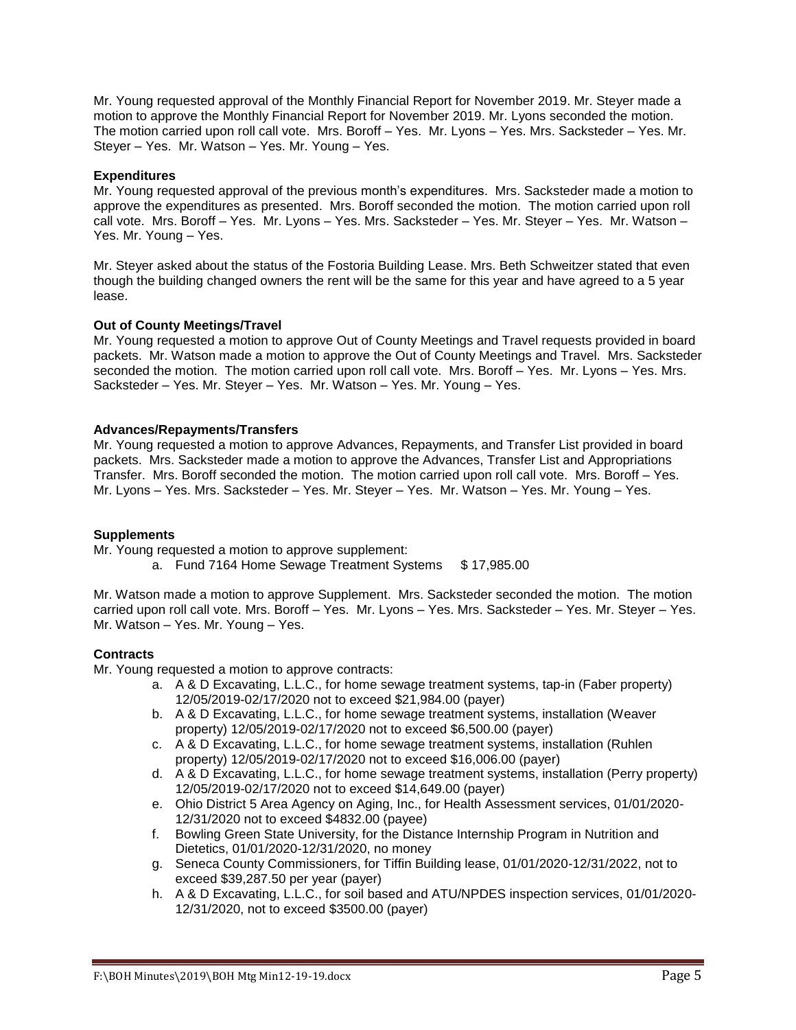Mr. Young requested approval of the Monthly Financial Report for November 2019. Mr. Steyer made a motion to approve the Monthly Financial Report for November 2019. Mr. Lyons seconded the motion. The motion carried upon roll call vote. Mrs. Boroff – Yes. Mr. Lyons – Yes. Mrs. Sacksteder – Yes. Mr. Steyer – Yes. Mr. Watson – Yes. Mr. Young – Yes.

## **Expenditures**

Mr. Young requested approval of the previous month's expenditures. Mrs. Sacksteder made a motion to approve the expenditures as presented. Mrs. Boroff seconded the motion. The motion carried upon roll call vote. Mrs. Boroff – Yes. Mr. Lyons – Yes. Mrs. Sacksteder – Yes. Mr. Steyer – Yes. Mr. Watson – Yes. Mr. Young – Yes.

Mr. Steyer asked about the status of the Fostoria Building Lease. Mrs. Beth Schweitzer stated that even though the building changed owners the rent will be the same for this year and have agreed to a 5 year lease.

## **Out of County Meetings/Travel**

Mr. Young requested a motion to approve Out of County Meetings and Travel requests provided in board packets. Mr. Watson made a motion to approve the Out of County Meetings and Travel. Mrs. Sacksteder seconded the motion. The motion carried upon roll call vote. Mrs. Boroff – Yes. Mr. Lyons – Yes. Mrs. Sacksteder – Yes. Mr. Steyer – Yes. Mr. Watson – Yes. Mr. Young – Yes.

### **Advances/Repayments/Transfers**

Mr. Young requested a motion to approve Advances, Repayments, and Transfer List provided in board packets. Mrs. Sacksteder made a motion to approve the Advances, Transfer List and Appropriations Transfer. Mrs. Boroff seconded the motion. The motion carried upon roll call vote. Mrs. Boroff – Yes. Mr. Lyons – Yes. Mrs. Sacksteder – Yes. Mr. Steyer – Yes. Mr. Watson – Yes. Mr. Young – Yes.

### **Supplements**

Mr. Young requested a motion to approve supplement:

a. Fund 7164 Home Sewage Treatment Systems \$ 17,985.00

Mr. Watson made a motion to approve Supplement. Mrs. Sacksteder seconded the motion. The motion carried upon roll call vote. Mrs. Boroff – Yes. Mr. Lyons – Yes. Mrs. Sacksteder – Yes. Mr. Steyer – Yes. Mr. Watson – Yes. Mr. Young – Yes.

### **Contracts**

Mr. Young requested a motion to approve contracts:

- a. A & D Excavating, L.L.C., for home sewage treatment systems, tap-in (Faber property) 12/05/2019-02/17/2020 not to exceed \$21,984.00 (payer)
- b. A & D Excavating, L.L.C., for home sewage treatment systems, installation (Weaver property) 12/05/2019-02/17/2020 not to exceed \$6,500.00 (payer)
- c. A & D Excavating, L.L.C., for home sewage treatment systems, installation (Ruhlen property) 12/05/2019-02/17/2020 not to exceed \$16,006.00 (payer)
- d. A & D Excavating, L.L.C., for home sewage treatment systems, installation (Perry property) 12/05/2019-02/17/2020 not to exceed \$14,649.00 (payer)
- e. Ohio District 5 Area Agency on Aging, Inc., for Health Assessment services, 01/01/2020- 12/31/2020 not to exceed \$4832.00 (payee)
- f. Bowling Green State University, for the Distance Internship Program in Nutrition and Dietetics, 01/01/2020-12/31/2020, no money
- g. Seneca County Commissioners, for Tiffin Building lease, 01/01/2020-12/31/2022, not to exceed \$39,287.50 per year (payer)
- h. A & D Excavating, L.L.C., for soil based and ATU/NPDES inspection services, 01/01/2020- 12/31/2020, not to exceed \$3500.00 (payer)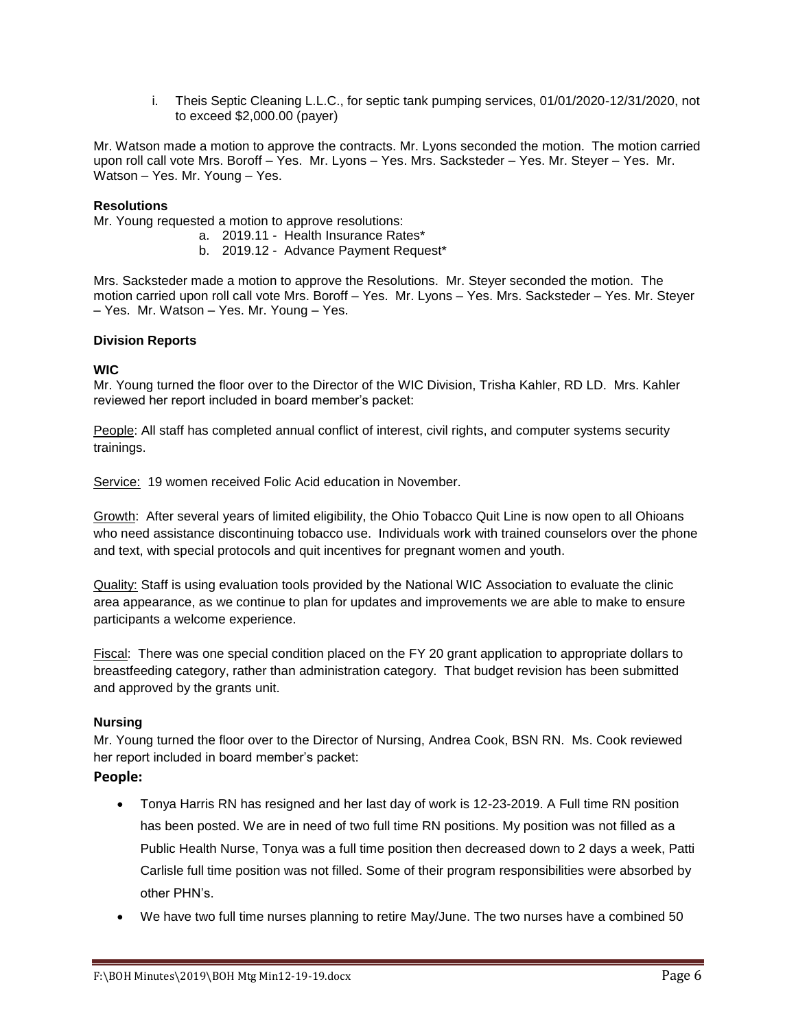i. Theis Septic Cleaning L.L.C., for septic tank pumping services, 01/01/2020-12/31/2020, not to exceed \$2,000.00 (payer)

Mr. Watson made a motion to approve the contracts. Mr. Lyons seconded the motion. The motion carried upon roll call vote Mrs. Boroff – Yes. Mr. Lyons – Yes. Mrs. Sacksteder – Yes. Mr. Steyer – Yes. Mr. Watson – Yes. Mr. Young – Yes.

# **Resolutions**

Mr. Young requested a motion to approve resolutions:

- a. 2019.11 Health Insurance Rates\*
	- b. 2019.12 Advance Payment Request\*

Mrs. Sacksteder made a motion to approve the Resolutions. Mr. Steyer seconded the motion. The motion carried upon roll call vote Mrs. Boroff – Yes. Mr. Lyons – Yes. Mrs. Sacksteder – Yes. Mr. Steyer – Yes. Mr. Watson – Yes. Mr. Young – Yes.

### **Division Reports**

### **WIC**

Mr. Young turned the floor over to the Director of the WIC Division, Trisha Kahler, RD LD. Mrs. Kahler reviewed her report included in board member's packet:

People: All staff has completed annual conflict of interest, civil rights, and computer systems security trainings.

Service: 19 women received Folic Acid education in November.

Growth: After several years of limited eligibility, the Ohio Tobacco Quit Line is now open to all Ohioans who need assistance discontinuing tobacco use. Individuals work with trained counselors over the phone and text, with special protocols and quit incentives for pregnant women and youth.

Quality: Staff is using evaluation tools provided by the National WIC Association to evaluate the clinic area appearance, as we continue to plan for updates and improvements we are able to make to ensure participants a welcome experience.

Fiscal: There was one special condition placed on the FY 20 grant application to appropriate dollars to breastfeeding category, rather than administration category. That budget revision has been submitted and approved by the grants unit.

### **Nursing**

Mr. Young turned the floor over to the Director of Nursing, Andrea Cook, BSN RN. Ms. Cook reviewed her report included in board member's packet:

# **People:**

- Tonya Harris RN has resigned and her last day of work is 12-23-2019. A Full time RN position has been posted. We are in need of two full time RN positions. My position was not filled as a Public Health Nurse, Tonya was a full time position then decreased down to 2 days a week, Patti Carlisle full time position was not filled. Some of their program responsibilities were absorbed by other PHN's.
- We have two full time nurses planning to retire May/June. The two nurses have a combined 50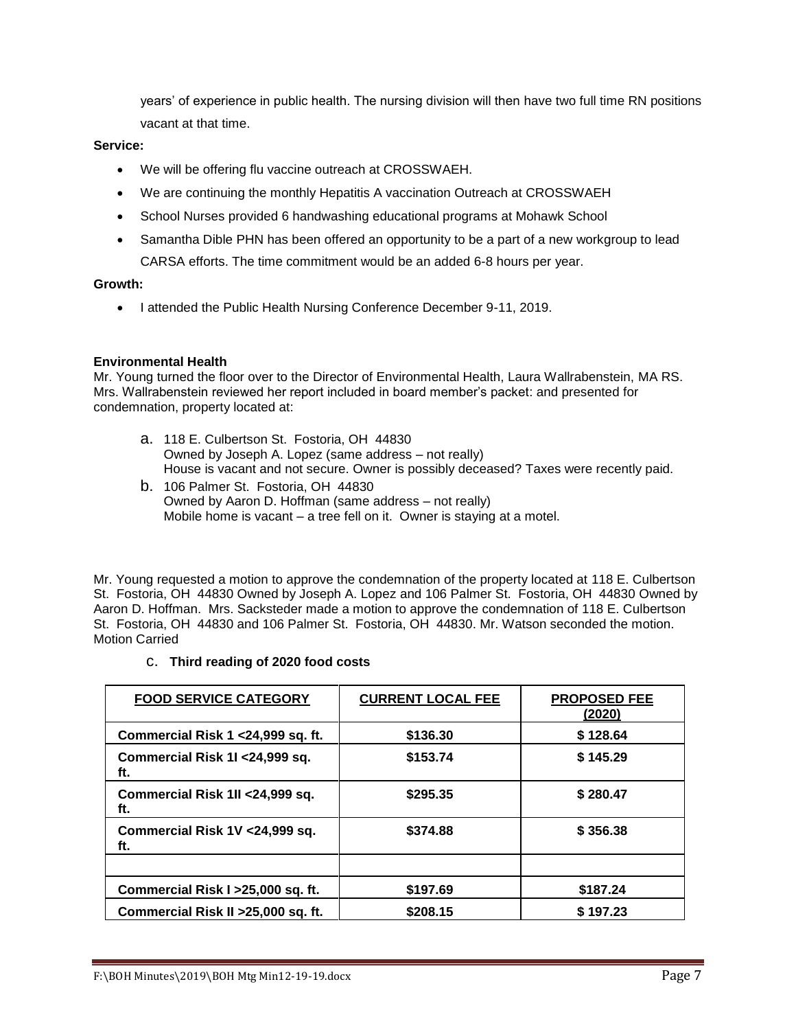years' of experience in public health. The nursing division will then have two full time RN positions vacant at that time.

# **Service:**

- We will be offering flu vaccine outreach at CROSSWAEH.
- We are continuing the monthly Hepatitis A vaccination Outreach at CROSSWAEH
- School Nurses provided 6 handwashing educational programs at Mohawk School
- Samantha Dible PHN has been offered an opportunity to be a part of a new workgroup to lead CARSA efforts. The time commitment would be an added 6-8 hours per year.

## **Growth:**

• I attended the Public Health Nursing Conference December 9-11, 2019.

# **Environmental Health**

Mr. Young turned the floor over to the Director of Environmental Health, Laura Wallrabenstein, MA RS. Mrs. Wallrabenstein reviewed her report included in board member's packet: and presented for condemnation, property located at:

- a. 118 E. Culbertson St. Fostoria, OH 44830 Owned by Joseph A. Lopez (same address – not really) House is vacant and not secure. Owner is possibly deceased? Taxes were recently paid.
- b. 106 Palmer St. Fostoria, OH 44830 Owned by Aaron D. Hoffman (same address – not really) Mobile home is vacant – a tree fell on it. Owner is staying at a motel.

Mr. Young requested a motion to approve the condemnation of the property located at 118 E. Culbertson St. Fostoria, OH 44830 Owned by Joseph A. Lopez and 106 Palmer St. Fostoria, OH 44830 Owned by Aaron D. Hoffman. Mrs. Sacksteder made a motion to approve the condemnation of 118 E. Culbertson St. Fostoria, OH 44830 and 106 Palmer St. Fostoria, OH 44830. Mr. Watson seconded the motion. Motion Carried

# c. **Third reading of 2020 food costs**

| <b>FOOD SERVICE CATEGORY</b>            | <b>CURRENT LOCAL FEE</b> | <b>PROPOSED FEE</b><br>(2020) |
|-----------------------------------------|--------------------------|-------------------------------|
| Commercial Risk 1 < 24,999 sq. ft.      | \$136.30                 | \$128.64                      |
| Commercial Risk 1I < 24,999 sq.<br>ft.  | \$153.74                 | \$145.29                      |
| Commercial Risk 1II < 24,999 sq.<br>ft. | \$295.35                 | \$280.47                      |
| Commercial Risk 1V < 24,999 sq.<br>ft.  | \$374.88                 | \$356.38                      |
|                                         |                          |                               |
| Commercial Risk I > 25,000 sq. ft.      | \$197.69                 | \$187.24                      |
| Commercial Risk II > 25,000 sq. ft.     | \$208.15                 | \$197.23                      |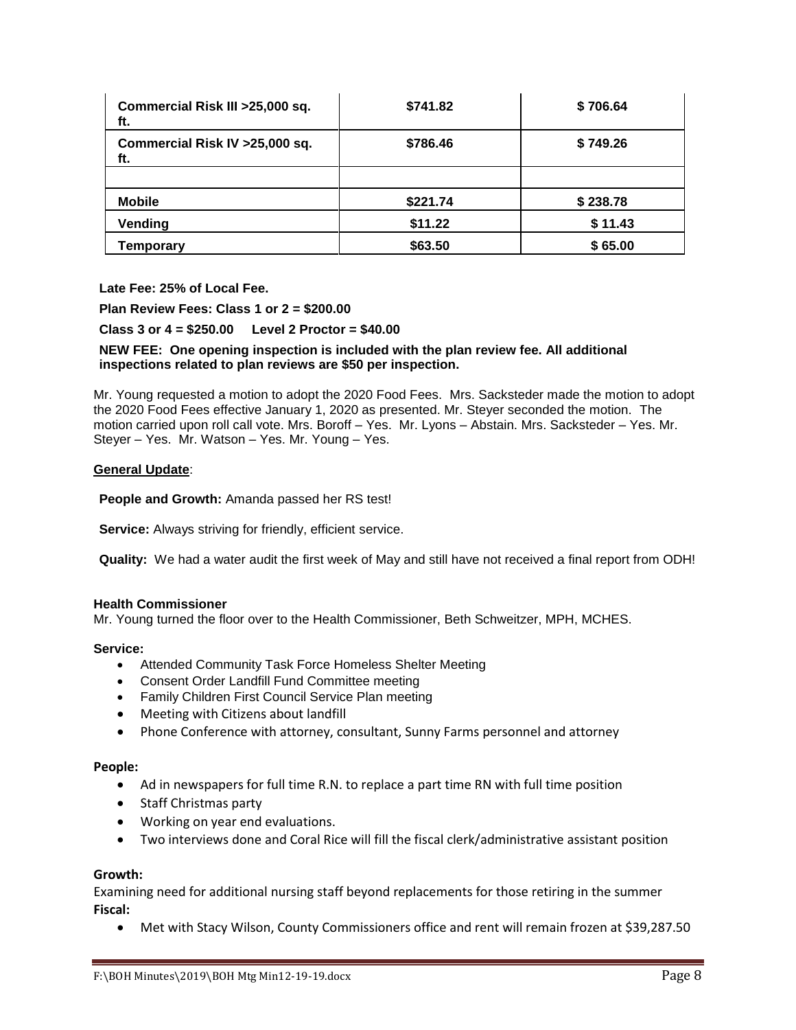| Commercial Risk III > 25,000 sq.<br>ft. | \$741.82 | \$706.64 |
|-----------------------------------------|----------|----------|
| Commercial Risk IV > 25,000 sq.<br>ft.  | \$786.46 | \$749.26 |
|                                         |          |          |
| <b>Mobile</b>                           | \$221.74 | \$238.78 |
| Vending                                 | \$11.22  | \$11.43  |
| Temporary                               | \$63.50  | \$65.00  |

**Late Fee: 25% of Local Fee.**

**Plan Review Fees: Class 1 or 2 = \$200.00**

**Class 3 or 4 = \$250.00 Level 2 Proctor = \$40.00**

# **NEW FEE: One opening inspection is included with the plan review fee. All additional inspections related to plan reviews are \$50 per inspection.**

Mr. Young requested a motion to adopt the 2020 Food Fees. Mrs. Sacksteder made the motion to adopt the 2020 Food Fees effective January 1, 2020 as presented. Mr. Steyer seconded the motion. The motion carried upon roll call vote. Mrs. Boroff – Yes. Mr. Lyons – Abstain. Mrs. Sacksteder – Yes. Mr. Steyer – Yes. Mr. Watson – Yes. Mr. Young – Yes.

## **General Update**:

**People and Growth:** Amanda passed her RS test!

**Service:** Always striving for friendly, efficient service.

**Quality:** We had a water audit the first week of May and still have not received a final report from ODH!

### **Health Commissioner**

Mr. Young turned the floor over to the Health Commissioner, Beth Schweitzer, MPH, MCHES.

### **Service:**

- Attended Community Task Force Homeless Shelter Meeting
- Consent Order Landfill Fund Committee meeting
- Family Children First Council Service Plan meeting
- Meeting with Citizens about landfill
- Phone Conference with attorney, consultant, Sunny Farms personnel and attorney

### **People:**

- Ad in newspapers for full time R.N. to replace a part time RN with full time position
- Staff Christmas party
- Working on year end evaluations.
- Two interviews done and Coral Rice will fill the fiscal clerk/administrative assistant position

### **Growth:**

Examining need for additional nursing staff beyond replacements for those retiring in the summer **Fiscal:**

Met with Stacy Wilson, County Commissioners office and rent will remain frozen at \$39,287.50